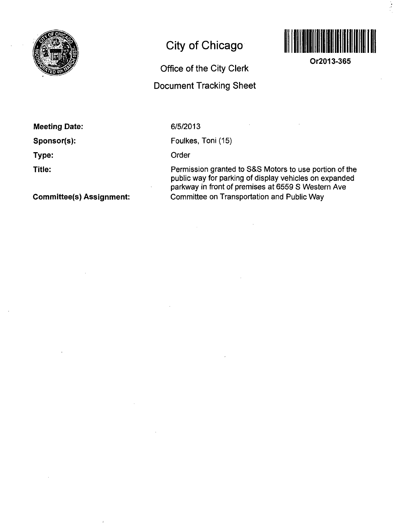

# **City of Chicago**

## **Office of the City Clerk Document Tracking Sheet**



**Or2013-365** 

### **Meeting Date:**

**Sponsor(s):** 

**Type:** 

**Title:** 

#### **Committee(s) Assignment:**

#### 6/5/2013

Foulkes, Toni (15)

#### Order

Permission granted to S&S Motors to use portion of the public way for parking of display vehicles on expanded parkway in front of premises at 6559 S Western Ave Committee on Transportation and Public Way